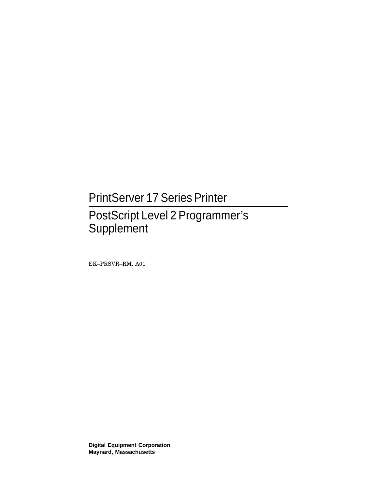## PrintServer 17 Series Printer

## PostScript Level 2 Programmer's **Supplement**

EK–PRSVR–RM. A01

**Digital Equipment Corporation Maynard, Massachusetts**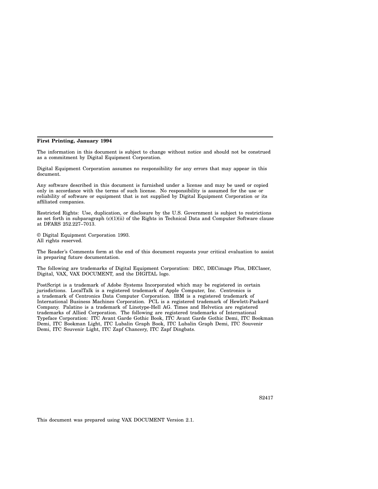#### **First Printing, January 1994**

The information in this document is subject to change without notice and should not be construed as a commitment by Digital Equipment Corporation.

Digital Equipment Corporation assumes no responsibility for any errors that may appear in this document.

Any software described in this document is furnished under a license and may be used or copied only in accordance with the terms of such license. No responsibility is assumed for the use or reliability of software or equipment that is not supplied by Digital Equipment Corporation or its affiliated companies.

Restricted Rights: Use, duplication, or disclosure by the U.S. Government is subject to restrictions as set forth in subparagraph (c)(1)(ii) of the Rights in Technical Data and Computer Software clause at DFARS 252.227–7013.

© Digital Equipment Corporation 1993. All rights reserved.

The Reader's Comments form at the end of this document requests your critical evaluation to assist in preparing future documentation.

The following are trademarks of Digital Equipment Corporation: DEC, DECimage Plus, DEClaser, Digital, VAX, VAX DOCUMENT, and the DIGITAL logo.

PostScript is a trademark of Adobe Systems Incorporated which may be registered in certain jurisdictions. LocalTalk is a registered trademark of Apple Computer, Inc. Centronics is a trademark of Centronics Data Computer Corporation. IBM is a registered trademark of International Business Machines Corporation. PCL is a registered trademark of Hewlett-Packard Company. Palatino is a trademark of Linotype-Hell AG. Times and Helvetica are registered trademarks of Allied Corporation. The following are registered trademarks of International Typeface Corporation: ITC Avant Garde Gothic Book, ITC Avant Garde Gothic Demi, ITC Bookman Demi, ITC Bookman Light, ITC Lubalin Graph Book, ITC Lubalin Graph Demi, ITC Souvenir Demi, ITC Souvenir Light, ITC Zapf Chancery, ITC Zapf Dingbats.

This document was prepared using VAX DOCUMENT Version 2.1.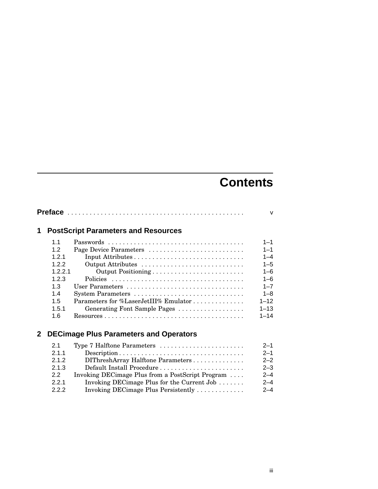## **Contents**

| 1. |                | <b>PostScript Parameters and Resources</b>                                                      |          |
|----|----------------|-------------------------------------------------------------------------------------------------|----------|
|    | 1 <sub>1</sub> |                                                                                                 | $1 - 1$  |
|    | 1.2            | Page Device Parameters                                                                          | $1 - 1$  |
|    | 121            |                                                                                                 | $1 - 4$  |
|    | 122            | Output Attributes                                                                               | $1 - 5$  |
|    | 1221           | Output Positioning                                                                              | $1 - 6$  |
|    | 1.2.3          |                                                                                                 | $1 - 6$  |
|    | 1.3            |                                                                                                 | $1 - 7$  |
|    | 14             |                                                                                                 | $1 - 8$  |
|    | 1.5            | Parameters for %LaserJetIII% Emulator                                                           | $1 - 12$ |
|    | 1.5.1          | Generating Font Sample Pages                                                                    | $1 - 13$ |
|    | 1.6            | $Resources \ldots \ldots \ldots \ldots \ldots \ldots \ldots \ldots \ldots \ldots \ldots \ldots$ | $1 - 14$ |

## **2 DECimage Plus Parameters and Operators**

| 2.1   | Type 7 Halftone Parameters                       | $2 - 1$ |
|-------|--------------------------------------------------|---------|
| 2.1.1 |                                                  | $2 - 1$ |
| 2.1.2 | DIThreshArray Halftone Parameters                | $2 - 2$ |
| 2.1.3 | Default Install Procedure                        | $2 - 3$ |
| 22    | Invoking DECimage Plus from a PostScript Program | $2 - 4$ |
| 2.2.1 | Invoking DECimage Plus for the Current Job       | $2 - 4$ |
| 222   | Invoking DECimage Plus Persistently              | $2 - 4$ |
|       |                                                  |         |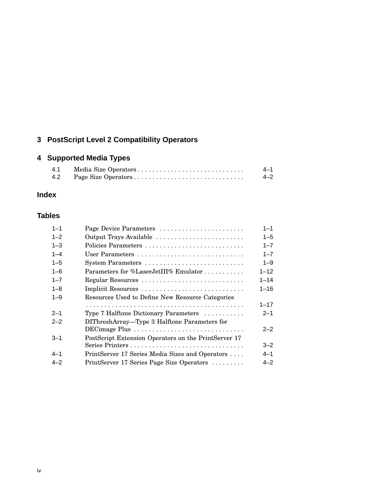## **3 PostScript Level 2 Compatibility Operators**

## **4 Supported Media Types**

| 4.1 | 4–1     |
|-----|---------|
| 4.2 | $4 - 2$ |

## **Index**

### **Tables**

| $1 - 1$ | Page Device Parameters                               | $1 - 1$  |
|---------|------------------------------------------------------|----------|
| $1 - 2$ | Output Trays Available                               | $1 - 5$  |
| $1 - 3$ | Policies Parameters                                  | $1 - 7$  |
| $1 - 4$ | User Parameters                                      | $1 - 7$  |
| $1 - 5$ |                                                      | $1 - 9$  |
| $1 - 6$ | Parameters for %LaserJetIII% Emulator                | $1 - 12$ |
| $1 - 7$ |                                                      | $1 - 14$ |
| $1 - 8$ |                                                      | $1 - 16$ |
| $1 - 9$ | Resources Used to Define New Resource Categories     |          |
|         |                                                      | $1 - 17$ |
| $2 - 1$ | Type 7 Halftone Dictionary Parameters                | $2 - 1$  |
| $2 - 2$ | DIThreshArray-Type 3 Halftone Parameters for         |          |
|         |                                                      | $2 - 2$  |
| $3 - 1$ | PostScript Extension Operators on the PrintServer 17 |          |
|         |                                                      | $3 - 2$  |
| $4 - 1$ | PrintServer 17 Series Media Sizes and Operators      | 4–1      |
| $4 - 2$ | PrintServer 17 Series Page Size Operators            | $4 - 2$  |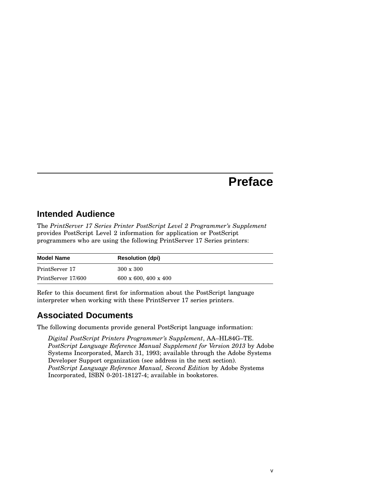## **Preface**

## **Intended Audience**

The *PrintServer 17 Series Printer PostScript Level 2 Programmer's Supplement* provides PostScript Level 2 information for application or PostScript programmers who are using the following PrintServer 17 Series printers:

| <b>Model Name</b>  | <b>Resolution (dpi)</b>             |
|--------------------|-------------------------------------|
| PrintServer 17     | $300 \times 300$                    |
| PrintServer 17/600 | $600 \times 600$ , $400 \times 400$ |

Refer to this document first for information about the PostScript language interpreter when working with these PrintServer 17 series printers.

## **Associated Documents**

The following documents provide general PostScript language information:

*Digital PostScript Printers Programmer's Supplement*, AA–HL84G–TE. *PostScript Language Reference Manual Supplement for Version 2013* by Adobe Systems Incorporated, March 31, 1993; available through the Adobe Systems Developer Support organization (see address in the next section). *PostScript Language Reference Manual, Second Edition* by Adobe Systems Incorporated, ISBN 0-201-18127-4; available in bookstores.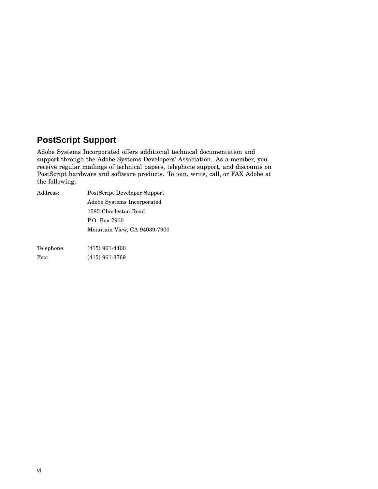## **PostScript Support**

Adobe Systems Incorporated offers additional technical documentation and support through the Adobe Systems Developers' Association. As a member, you receive regular mailings of technical papers, telephone support, and discounts on PostScript hardware and software products. To join, write, call, or FAX Adobe at the following:

| Address:   | PostScript Developer Support |
|------------|------------------------------|
|            | Adobe Systems Incorporated   |
|            | 1585 Charleston Road         |
|            | P.O. Box 7900                |
|            | Mountain View, CA 94039-7900 |
|            |                              |
| Telephone: | $(415)$ 961-4400             |
| Fax:       | $(415)$ 961-3769             |
|            |                              |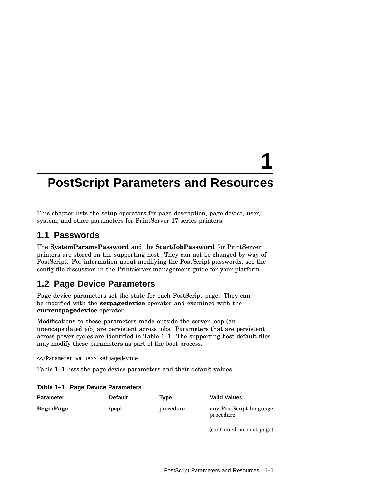# **1**

## **PostScript Parameters and Resources**

This chapter lists the setup operators for page description, page device, user, system, and other parameters for PrintServer 17 series printers.

## **1.1 Passwords**

The **SystemParamsPassword** and the **StartJobPassword** for PrintServer printers are stored on the supporting host. They can not be changed by way of PostScript. For information about modifying the PostScript passwords, see the config file discussion in the PrintServer management guide for your platform.

## **1.2 Page Device Parameters**

Page device parameters set the state for each PostScript page. They can be modified with the **setpagedevice** operator and examined with the **currentpagedevice** operator.

Modifications to these parameters made outside the server loop (an unencapsulated job) are persistent across jobs. Parameters that are persistent across power cycles are identified in Table 1–1. The supporting host default files may modify these parameters as part of the boot process.

<</Parameter value>> setpagedevice

Table 1–1 lists the page device parameters and their default values.

| <b>Parameter</b> | <b>Default</b> | Tvpe      | <b>Valid Values</b>                  |
|------------------|----------------|-----------|--------------------------------------|
| <b>BeginPage</b> | $\{pop\}$      | procedure | any PostScript language<br>procedure |

**Table 1–1 Page Device Parameters**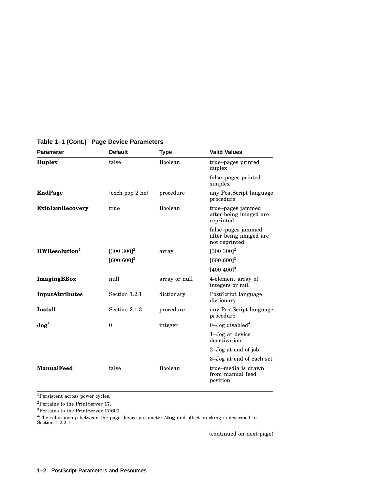| <b>Parameter</b>                   | <b>Default</b>      | <b>Type</b>   | <b>Valid Values</b>                                           |
|------------------------------------|---------------------|---------------|---------------------------------------------------------------|
| $\mathbf{Duplex}^1$                | false               | Boolean       | true-pages printed<br>duplex                                  |
|                                    |                     |               | false-pages printed<br>simplex                                |
| <b>EndPage</b>                     | $\{exch pop 2 ne\}$ | procedure     | any PostScript language<br>procedure                          |
| <b>ExitJamRecovery</b>             | true                | Boolean       | true-pages jammed<br>after being imaged are<br>reprinted      |
|                                    |                     |               | false-pages jammed<br>after being imaged are<br>not reprinted |
| $HWR$ esolution <sup>1</sup>       | $[300 300]^{2}$     | array         | $[300 300]^{2}$                                               |
|                                    | $[600 600]^{3}$     |               | $[600 600]^{3}$                                               |
|                                    |                     |               | $[400 400]^{3}$                                               |
| <b>ImagingBBox</b>                 | null                | array or null | 4-element array of<br>integers or null                        |
| InputAttributes                    | Section 1.2.1       | dictionary    | PostScript language<br>dictionary                             |
| <b>Install</b>                     | Section 2.1.3       | procedure     | any PostScript language<br>procedure                          |
| $\mathbf{J}\mathbf{o}\mathbf{g}^1$ | $\theta$            | integer       | $0 - \text{Jog}$ disabled <sup>4</sup>                        |
|                                    |                     |               | 1–Jog at device<br>deactivation                               |
|                                    |                     |               | $2$ -Jog at end of job                                        |
|                                    |                     |               | 3–Jog at end of each set                                      |
| $\mathbf{Manual}\mathbf{Fed}^1$    | false               | Boolean       | true-media is drawn<br>from manual feed<br>position           |

#### **Table 1–1 (Cont.) Page Device Parameters**

<sup>1</sup>Persistent across power cycles.

 ${\rm ^2Pertains}$  to the PrintServer 17.

 $^3\rm{Pertains}$  to the PrintServer 17/600.

<sup>4</sup>The relationship between the page device parameter **/Jog** and offset stacking is described in Section 1.2.2.1.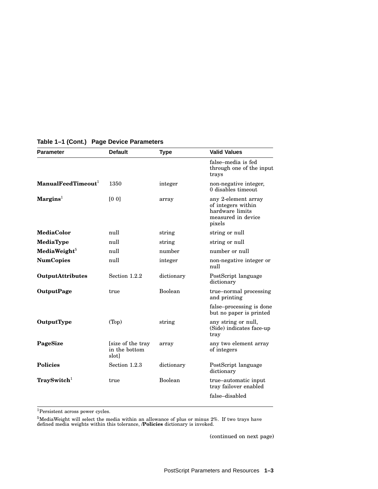| <b>Parameter</b>                        | <b>Default</b>                              | <b>Type</b> | <b>Valid Values</b>                                                                          |
|-----------------------------------------|---------------------------------------------|-------------|----------------------------------------------------------------------------------------------|
|                                         |                                             |             | false-media is fed<br>through one of the input<br>trays                                      |
| $\mathbf{Manual}\mathbf{FeedTimeout}^1$ | 1350                                        | integer     | non-negative integer,<br>0 disables timeout                                                  |
| $Margins1$                              | [0 0]                                       | array       | any 2-element array<br>of integers within<br>hardware limits<br>measured in device<br>pixels |
| <b>MediaColor</b>                       | null                                        | string      | string or null                                                                               |
| MediaType                               | null                                        | string      | string or null                                                                               |
| MediaWeight $5$                         | null                                        | number      | number or null                                                                               |
| <b>NumCopies</b>                        | null                                        | integer     | non-negative integer or<br>null                                                              |
| <b>OutputAttributes</b>                 | Section 1.2.2                               | dictionary  | PostScript language<br>dictionary                                                            |
| <b>OutputPage</b>                       | true                                        | Boolean     | true–normal processing<br>and printing                                                       |
|                                         |                                             |             | false-processing is done<br>but no paper is printed                                          |
| OutputType                              | (Top)                                       | string      | any string or null,<br>(Side) indicates face-up<br>tray                                      |
| PageSize                                | [size of the tray]<br>in the bottom<br>slot | array       | any two element array<br>of integers                                                         |
| <b>Policies</b>                         | Section 1.2.3                               | dictionary  | PostScript language<br>dictionary                                                            |
| TraySwitch <sup>1</sup>                 | true                                        | Boolean     | true-automatic input<br>tray failover enabled                                                |
|                                         |                                             |             | false-disabled                                                                               |

#### **Table 1–1 (Cont.) Page Device Parameters**

 $^1\!$  Persistent across power cycles.

 $^5$ MediaWeight will select the media within an allowance of plus or minus 2%. If two trays have defined media weights within this tolerance, **/Policies** dictionary is invoked.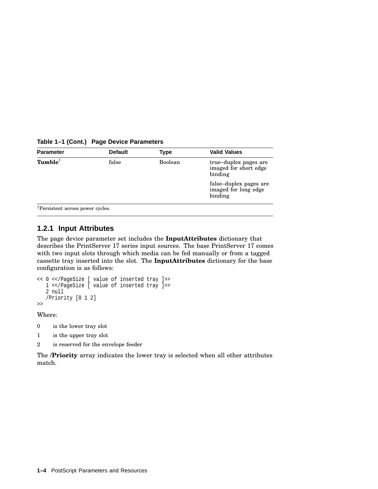**Table 1–1 (Cont.) Page Device Parameters**

| <b>Parameter</b>    | <b>Default</b> | Type    | <b>Valid Values</b>                                       |
|---------------------|----------------|---------|-----------------------------------------------------------|
| Tumble <sup>1</sup> | false          | Boolean | true-duplex pages are<br>imaged for short edge<br>binding |
|                     |                |         | false-duplex pages are<br>imaged for long edge<br>binding |

<sup>1</sup>Persistent across power cycles.

#### **1.2.1 Input Attributes**

The page device parameter set includes the **InputAttributes** dictionary that describes the PrintServer 17 series input sources. The base PrintServer 17 comes with two input slots through which media can be fed manually or from a tagged cassette tray inserted into the slot. The **InputAttributes** dictionary for the base configuration is as follows:

```
<< 0 <</PageSize [ value of inserted tray ]>>
  1 <</PageSize [ value of inserted tray ]>>
   2 null
   /Priority [0 1 2]
>>
```
Where:

- 0 is the lower tray slot
- 1 is the upper tray slot
- 2 is reserved for the envelope feeder

The **/Priority** array indicates the lower tray is selected when all other attributes match.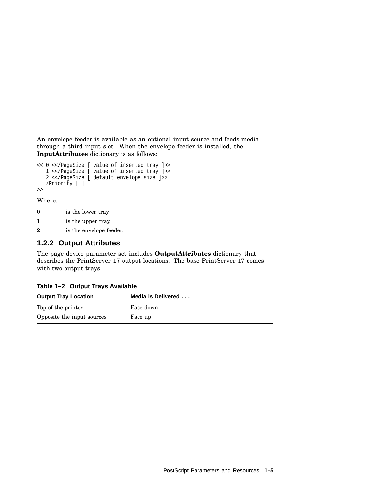An envelope feeder is available as an optional input source and feeds media through a third input slot. When the envelope feeder is installed, the **InputAttributes** dictionary is as follows:

```
<< 0 <</PageSize [ value of inserted tray ]>>
   1 <</PageSize [ value of inserted tray ]>>
   2 <</PageSize [ default envelope size ]>>
   /Priority [1]
\rightarrow
```
Where:

- 0 is the lower tray.
- 1 is the upper tray.
- 2 is the envelope feeder.

#### **1.2.2 Output Attributes**

The page device parameter set includes **OutputAttributes** dictionary that describes the PrintServer 17 output locations. The base PrintServer 17 comes with two output trays.

| $\frac{1}{2}$ $\frac{1}{2}$ $\frac{1}{2}$ $\frac{1}{2}$ $\frac{1}{2}$ $\frac{1}{2}$ $\frac{1}{2}$ $\frac{1}{2}$ $\frac{1}{2}$ $\frac{1}{2}$ $\frac{1}{2}$ $\frac{1}{2}$ $\frac{1}{2}$ $\frac{1}{2}$ $\frac{1}{2}$ $\frac{1}{2}$ $\frac{1}{2}$ $\frac{1}{2}$ $\frac{1}{2}$ $\frac{1}{2}$ $\frac{1}{2}$ $\frac{1}{2}$ |                    |  |  |
|---------------------------------------------------------------------------------------------------------------------------------------------------------------------------------------------------------------------------------------------------------------------------------------------------------------------|--------------------|--|--|
| <b>Output Tray Location</b>                                                                                                                                                                                                                                                                                         | Media is Delivered |  |  |
| Top of the printer                                                                                                                                                                                                                                                                                                  | Face down          |  |  |
| Opposite the input sources                                                                                                                                                                                                                                                                                          | Face up            |  |  |

**Table 1–2 Output Trays Available**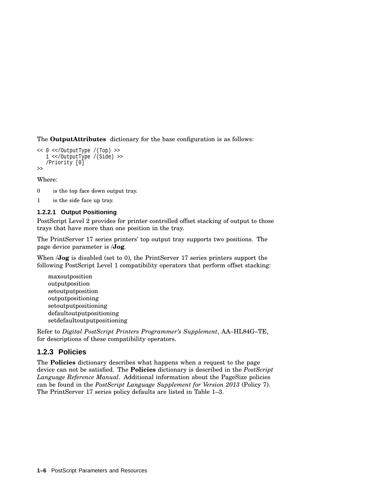The **OutputAttributes** dictionary for the base configuration is as follows:

```
<< 0 <</OutputType /(Top) >>
   1 <</OutputType /(Side) >>
   /Priority [0]
\rightarrow
```
- Where:
- 0 is the top face down output tray.
- 1 is the side face up tray.

#### **1.2.2.1 Output Positioning**

PostScript Level 2 provides for printer controlled offset stacking of output to those trays that have more than one position in the tray.

The PrintServer 17 series printers' top output tray supports two positions. The page device parameter is /**Jog**.

When *Jog* is disabled (set to 0), the PrintServer 17 series printers support the following PostScript Level 1 compatibility operators that perform offset stacking:

maxoutposition outputposition setoutputposition outputpositioning setoutputpositioning defaultoutputpositioning setdefaultoutputpositioning

Refer to *Digital PostScript Printers Programmer's Supplement*, AA–HL84G–TE, for descriptions of these compatibility operators.

#### **1.2.3 Policies**

The **Policies** dictionary describes what happens when a request to the page device can not be satisfied. The **Policies** dictionary is described in the *PostScript Language Reference Manual*. Additional information about the PageSize policies can be found in the *PostScript Language Supplement for Version 2013* (Policy 7). The PrintServer 17 series policy defaults are listed in Table 1–3.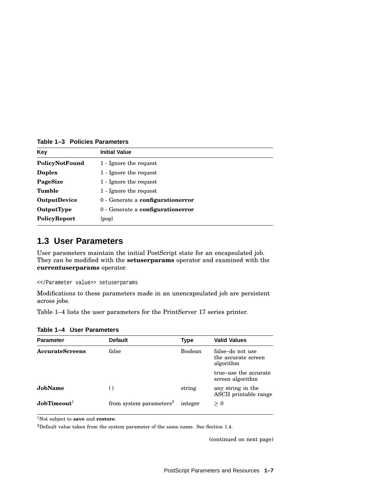**Table 1–3 Policies Parameters**

| Key                 | <b>Initial Value</b>              |
|---------------------|-----------------------------------|
| PolicyNotFound      | 1 - Ignore the request            |
| <b>Duplex</b>       | 1 - Ignore the request            |
| PageSize            | 1 - Ignore the request            |
| Tumble              | 1 - Ignore the request            |
| <b>OutputDevice</b> | 0 - Generate a configurationerror |
| <b>OutputType</b>   | 0 - Generate a configurationerror |
| PolicyReport        | $\{pop\}$                         |

#### **1.3 User Parameters**

User parameters maintain the initial PostScript state for an encapsulated job. They can be modified with the **setuserparams** operator and examined with the **currentuserparams** operator.

```
<</Parameter value>> setuserparams
```
Modifications to these parameters made in an unencapsulated job are persistent across jobs.

Table 1–4 lists the user parameters for the PrintServer 17 series printer.

| <b>Parameter</b>       | <b>Default</b>                      | <b>Type</b>    | <b>Valid Values</b>                                  |
|------------------------|-------------------------------------|----------------|------------------------------------------------------|
| <b>AccurateScreens</b> | false                               | <b>Boolean</b> | false-do not use<br>the accurate screen<br>algorithm |
|                        |                                     |                | true-use the accurate<br>screen algorithm            |
| JobName                | $\left( \right)$                    | string         | any string in the<br>ASCII printable range           |
| $J$ obTimeout $^1$     | from system parameters <sup>2</sup> | integer        | > 0                                                  |

**Table 1–4 User Parameters**

<sup>1</sup>Not subject to **save** and **restore**.

 $^2$  Default value taken from the system parameter of the same name. See Section 1.4.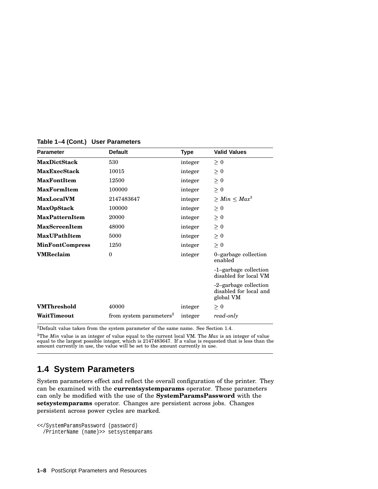| <b>Parameter</b>       | <b>Default</b>                      | Type    | <b>Valid Values</b>                                          |
|------------------------|-------------------------------------|---------|--------------------------------------------------------------|
| <b>MaxDictStack</b>    | 530                                 | integer | $\geq 0$                                                     |
| <b>MaxExecStack</b>    | 10015                               | integer | $\geq 0$                                                     |
| <b>MaxFontItem</b>     | 12500                               | integer | $\geq 0$                                                     |
| <b>MaxFormItem</b>     | 100000                              | integer | $\geq 0$                                                     |
| <b>MaxLocalVM</b>      | 2147483647                          | integer | $> Min < Max^3$                                              |
| <b>MaxOpStack</b>      | 100000                              | integer | $\geq 0$                                                     |
| <b>MaxPatternItem</b>  | 20000                               | integer | $\geq 0$                                                     |
| <b>MaxScreenItem</b>   | 48000                               | integer | $\geq 0$                                                     |
| MaxUPathItem           | 5000                                | integer | $\geq 0$                                                     |
| <b>MinFontCompress</b> | 1250                                | integer | $\geq 0$                                                     |
| <b>VMReclaim</b>       | $\theta$                            | integer | 0-garbage collection<br>enabled                              |
|                        |                                     |         | -1-garbage collection<br>disabled for local VM               |
|                        |                                     |         | -2-garbage collection<br>disabled for local and<br>global VM |
| <b>VMThreshold</b>     | 40000                               | integer | $\geq 0$                                                     |
| WaitTimeout            | from system parameters <sup>2</sup> | integer | read-only                                                    |

**Table 1–4 (Cont.) User Parameters**

 $^2$  Default value taken from the system parameter of the same name. See Section 1.4.  $\,$ 

<sup>3</sup>The *Min* value is an integer of value equal to the current local VM. The *Max* is an integer of value equal to the largest possible integer, which is 2147483647. If a value is requested that is less than the amount cu

## **1.4 System Parameters**

System parameters effect and reflect the overall configuration of the printer. They can be examined with the **currentsystemparams** operator. These parameters can only be modified with the use of the **SystemParamsPassword** with the **setsystemparams** operator. Changes are persistent across jobs. Changes persistent across power cycles are marked.

```
<</SystemParamsPassword (password)
  /PrinterName (name)>> setsystemparams
```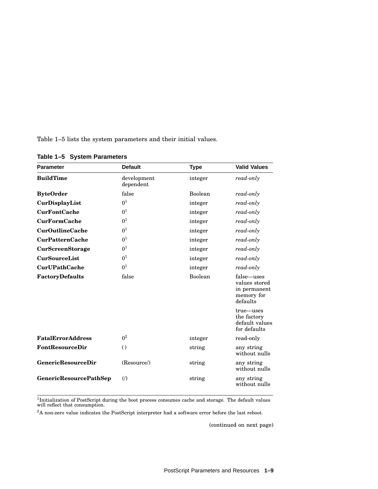Table 1–5 lists the system parameters and their initial values.

| <b>Parameter</b>              | <b>Default</b>           | <b>Type</b> | <b>Valid Values</b>                                                   |
|-------------------------------|--------------------------|-------------|-----------------------------------------------------------------------|
| <b>BuildTime</b>              | development<br>dependent | integer     | read-only                                                             |
| <b>ByteOrder</b>              | false                    | Boolean     | read-only                                                             |
| CurDisplayList                | 0 <sup>1</sup>           | integer     | read-only                                                             |
| <b>CurFontCache</b>           | 0 <sup>1</sup>           | integer     | read-only                                                             |
| <b>CurFormCache</b>           | 0 <sup>1</sup>           | integer     | read-only                                                             |
| <b>CurOutlineCache</b>        | 0 <sup>1</sup>           | integer     | read-only                                                             |
| <b>CurPatternCache</b>        | 0 <sup>1</sup>           | integer     | read-only                                                             |
| CurScreenStorage              | 0 <sup>1</sup>           | integer     | read-only                                                             |
| <b>CurSourceList</b>          | 0 <sup>1</sup>           | integer     | read-only                                                             |
| <b>CurUPathCache</b>          | 0 <sup>1</sup>           | integer     | read-only                                                             |
| FactoryDefaults               | false                    | Boolean     | false-uses<br>values stored<br>in permanent<br>memory for<br>defaults |
|                               |                          |             | true—uses<br>the factory<br>default values<br>for defaults            |
| <b>FatalErrorAddress</b>      | 0 <sup>2</sup>           | integer     | read-only                                                             |
| <b>FontResourceDir</b>        | $\left( \right)$         | string      | any string<br>without nulls                                           |
| <b>GenericResourceDir</b>     | (Resource/)              | string      | any string<br>without nulls                                           |
| <b>GenericResourcePathSep</b> | $\circ$                  | string      | any string<br>without nulls                                           |

**Table 1–5 System Parameters**

<sup>1</sup>Initialization of PostScript during the boot process consumes cache and storage. The default values<br>will reflect that consumption.

 $^2\text{A}$  non-zero value indicates the PostScript interpreter had a software error before the last reboot.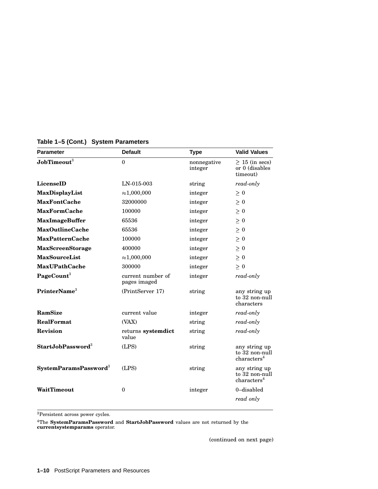| <b>Parameter</b>                  | <b>Default</b>                    | <b>Type</b>            | <b>Valid Values</b>                                        |
|-----------------------------------|-----------------------------------|------------------------|------------------------------------------------------------|
| $\mathbf{JobTimeout}^3$           | $\theta$                          | nonnegative<br>integer | $\geq$ 15 (in secs)<br>or 0 (disables<br>timeout)          |
| <b>LicenseID</b>                  | LN-015-003                        | string                 | read-only                                                  |
| MaxDisplayList                    | $\approx 1,000,000$               | integer                | $\geq$ 0                                                   |
| <b>MaxFontCache</b>               | 32000000                          | integer                | $\geq 0$                                                   |
| <b>MaxFormCache</b>               | 100000                            | integer                | $\geq 0$                                                   |
| <b>MaxImageBuffer</b>             | 65536                             | integer                | $\geq 0$                                                   |
| <b>MaxOutlineCache</b>            | 65536                             | integer                | $\geq 0$                                                   |
| <b>MaxPatternCache</b>            | 100000                            | integer                | $\geq 0$                                                   |
| <b>MaxScreenStorage</b>           | 400000                            | integer                | $\geq 0$                                                   |
| <b>MaxSourceList</b>              | $\approx 1,000,000$               | integer                | $\geq 0$                                                   |
| <b>MaxUPathCache</b>              | 300000                            | integer                | $\geq 0$                                                   |
| PageCount <sup>3</sup>            | current number of<br>pages imaged | integer                | read-only                                                  |
| PrinterName <sup>3</sup>          | (PrintServer 17)                  | string                 | any string up<br>to 32 non-null<br>characters              |
| RamSize                           | current value                     | integer                | read-only                                                  |
| <b>RealFormat</b>                 | (VAX)                             | string                 | read-only                                                  |
| <b>Revision</b>                   | returns systemdict<br>value       | string                 | read-only                                                  |
| $StartJobPassword3$               | (LPS)                             | string                 | any string up<br>to 32 non-null<br>charactors <sup>4</sup> |
| SystemParamsPassword <sup>3</sup> | (LPS)                             | string                 | any string up<br>to 32 non-null<br>charactors <sup>4</sup> |
| WaitTimeout                       | $\mathbf{0}$                      | integer                | 0-disabled                                                 |
|                                   |                                   |                        | read only                                                  |

#### **Table 1–5 (Cont.) System Parameters**

 $^3\!$  Persistent across power cycles.

<sup>4</sup>The **SystemParamsPassword** and **StartJobPassword** values are not returned by the **currentsystemparams** operator.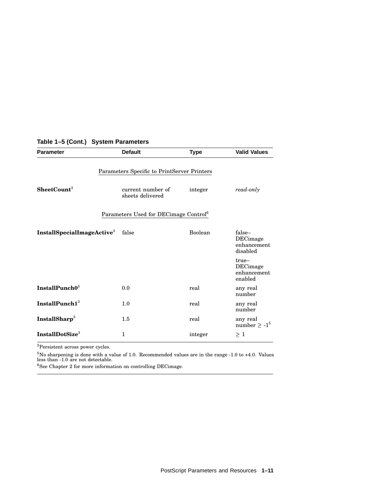| <b>Parameter</b>                             | <b>Default</b>                                    | <b>Type</b> | <b>Valid Values</b>                                  |
|----------------------------------------------|---------------------------------------------------|-------------|------------------------------------------------------|
|                                              | Parameters Specific to PrintServer Printers       |             |                                                      |
| SheetCount <sup>3</sup>                      | current number of<br>sheets delivered             | integer     | read-only                                            |
|                                              | Parameters Used for DECimage Control <sup>6</sup> |             |                                                      |
| InstallSpecialImageActive <sup>3</sup> false |                                                   | Boolean     | false-<br><b>DECimage</b><br>enhancement<br>disabled |
|                                              |                                                   |             | true-<br>DECimage<br>enhancement<br>enabled          |
| InstallPunch $0^3$                           | 0.0                                               | real        | any real<br>number                                   |
| InstallPunch $13$                            | 1.0                                               | real        | any real<br>number                                   |
| InstallSharp <sup>3</sup>                    | 1.5                                               | real        | any real<br>number $\geq -1^5$                       |
| InstallDotSize <sup>3</sup>                  | 1                                                 | integer     | $\geq 1$                                             |

#### **Table 1–5 (Cont.) System Parameters**

<sup>3</sup>Persistent across power cycles.

 $^{5}$ No sharpening is done with a value of 1.0. Recommended values are in the range -1.0 to +4.0. Values<br>less than -1.0 are not detectable.

 $^6\rm{See}$  Chapter 2 for more information on controlling DEC<br>image.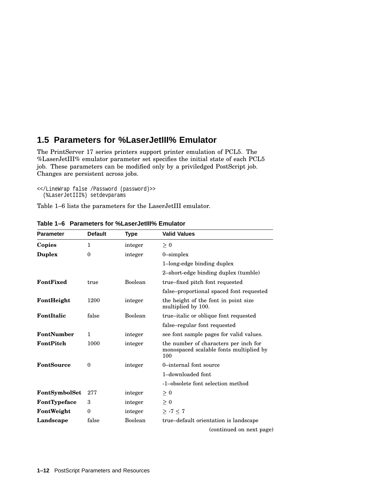## **1.5 Parameters for %LaserJetIII% Emulator**

The PrintServer 17 series printers support printer emulation of PCL5. The %LaserJetIII% emulator parameter set specifies the initial state of each PCL5 job. These parameters can be modified only by a priviledged PostScript job. Changes are persistent across jobs.

<</LineWrap false /Password (password)>> (%LaserJetIII%) setdevparams

Table 1–6 lists the parameters for the LaserJetIII emulator.

| <b>Parameter</b>  | <b>Default</b>   | Type    | <b>Valid Values</b>                                                                     |
|-------------------|------------------|---------|-----------------------------------------------------------------------------------------|
| Copies            | $\mathbf{1}$     | integer | $\geq 0$                                                                                |
| <b>Duplex</b>     | $\theta$         | integer | $0$ -simplex                                                                            |
|                   |                  |         | 1-long-edge binding duplex                                                              |
|                   |                  |         | 2-short-edge binding duplex (tumble)                                                    |
| FontFixed         | true             | Boolean | true–fixed pitch font requested                                                         |
|                   |                  |         | false-proportional spaced font requested                                                |
| FontHeight        | 1200             | integer | the height of the font in point size<br>multiplied by 100.                              |
| FontItalic        | false            | Boolean | true–italic or oblique font requested                                                   |
|                   |                  |         | false–regular font requested                                                            |
| FontNumber        | $\mathbf{1}$     | integer | see font sample pages for valid values.                                                 |
| FontPitch         | 1000             | integer | the number of characters per inch for<br>monospaced scalable fonts multiplied by<br>100 |
| <b>FontSource</b> | $\mathbf{0}$     | integer | 0-internal font source                                                                  |
|                   |                  |         | 1-downloaded font                                                                       |
|                   |                  |         | -1-obsolete font selection method                                                       |
| FontSymbolSet     | 277              | integer | $\geq 0$                                                                                |
| FontTypeface      | 3                | integer | $\geq 0$                                                                                |
| FontWeight        | $\boldsymbol{0}$ | integer | $> -7 < 7$                                                                              |
| Landscape         | false            | Boolean | true-default orientation is landscape                                                   |
|                   |                  |         | (continued on next page)                                                                |

**Table 1–6 Parameters for %LaserJetIII% Emulator**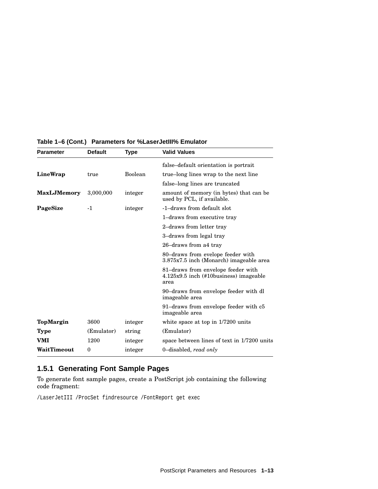| <b>Parameter</b>   | <b>Default</b>   | Type           | <b>Valid Values</b>                                                                    |
|--------------------|------------------|----------------|----------------------------------------------------------------------------------------|
|                    |                  |                | false-default orientation is portrait                                                  |
| LineWrap           | true             | <b>Boolean</b> | true-long lines wrap to the next line                                                  |
|                    |                  |                | false-long lines are truncated                                                         |
| <b>MaxLJMemory</b> | 3,000,000        | integer        | amount of memory (in bytes) that can be<br>used by PCL, if available.                  |
| PageSize           | $-1$             | integer        | -1-draws from default slot                                                             |
|                    |                  |                | 1-draws from executive tray                                                            |
|                    |                  |                | 2-draws from letter tray                                                               |
|                    |                  |                | 3-draws from legal tray                                                                |
|                    |                  |                | 26-draws from a4 tray                                                                  |
|                    |                  |                | 80–draws from evelope feeder with<br>3.875x7.5 inch (Monarch) imageable area           |
|                    |                  |                | 81–draws from envelope feeder with<br>$4.125x9.5$ inch (#10business) imageable<br>area |
|                    |                  |                | 90–draws from envelope feeder with dl<br>imageable area                                |
|                    |                  |                | 91–draws from envelope feeder with c5<br>imageable area                                |
| TopMargin          | 3600             | integer        | white space at top in 1/7200 units                                                     |
| Type               | (Emulator)       | string         | (Emulator)                                                                             |
| VMI                | 1200             | integer        | space between lines of text in 1/7200 units                                            |
| WaitTimeout        | $\boldsymbol{0}$ | integer        | 0-disabled, read only                                                                  |

#### **Table 1–6 (Cont.) Parameters for %LaserJetIII% Emulator**

### **1.5.1 Generating Font Sample Pages**

To generate font sample pages, create a PostScript job containing the following code fragment:

/LaserJetIII /ProcSet findresource /FontReport get exec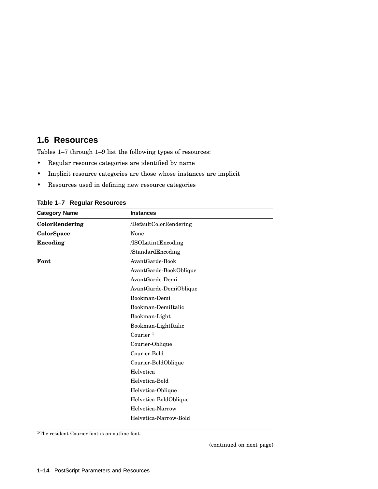## **1.6 Resources**

Tables 1–7 through 1–9 list the following types of resources:

- Regular resource categories are identified by name
- Implicit resource categories are those whose instances are implicit
- Resources used in defining new resource categories

| <b>Category Name</b> | <b>Instances</b>       |  |
|----------------------|------------------------|--|
| ColorRendering       | /DefaultColorRendering |  |
| ColorSpace           | None                   |  |
| Encoding             | /ISOLatin1Encoding     |  |
|                      | /StandardEncoding      |  |
| Font                 | AvantGarde-Book        |  |
|                      | AvantGarde-BookOblique |  |
|                      | AvantGarde-Demi        |  |
|                      | AvantGarde-DemiOblique |  |
|                      | Bookman-Demi           |  |
|                      | Bookman-DemiItalic     |  |
|                      | Bookman-Light          |  |
|                      | Bookman-LightItalic    |  |
|                      | Courier $1$            |  |
|                      | Courier-Oblique        |  |
|                      | Courier-Bold           |  |
|                      | Courier-BoldOblique    |  |
|                      | Helvetica              |  |
|                      | Helvetica-Bold         |  |
|                      | Helvetica-Oblique      |  |
|                      | Helvetica-BoldOblique  |  |
|                      | Helvetica-Narrow       |  |
|                      | Helvetica-Narrow-Bold  |  |

**Table 1–7 Regular Resources**

<sup>1</sup>The resident Courier font is an outline font.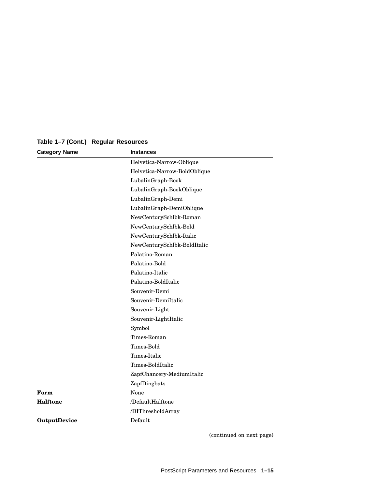| <b>Category Name</b> | <b>Instances</b>             |
|----------------------|------------------------------|
|                      | Helvetica-Narrow-Oblique     |
|                      | Helvetica-Narrow-BoldOblique |
|                      | LubalinGraph-Book            |
|                      | LubalinGraph-BookOblique     |
|                      | LubalinGraph-Demi            |
|                      | LubalinGraph-DemiOblique     |
|                      | NewCenturySchlbk-Roman       |
|                      | NewCenturySchlbk-Bold        |
|                      | NewCenturySchlbk-Italic      |
|                      | NewCenturySchlbk-BoldItalic  |
|                      | Palatino-Roman               |
|                      | Palatino-Bold                |
|                      | Palatino-Italic              |
|                      | Palatino-BoldItalic          |
|                      | Souvenir-Demi                |
|                      | Souvenir-DemiItalic          |
|                      | Souvenir-Light               |
|                      | Souvenir-LightItalic         |
|                      | Symbol                       |
|                      | Times-Roman                  |
|                      | Times-Bold                   |
|                      | Times-Italic                 |
|                      | Times-BoldItalic             |
|                      | ZapfChancery-MediumItalic    |
|                      | ZapfDingbats                 |
| Form                 | None                         |
| <b>Halftone</b>      | /DefaultHalftone             |
|                      | /DIThresholdArray            |
| <b>OutputDevice</b>  | Default                      |

**Table 1–7 (Cont.) Regular Resources**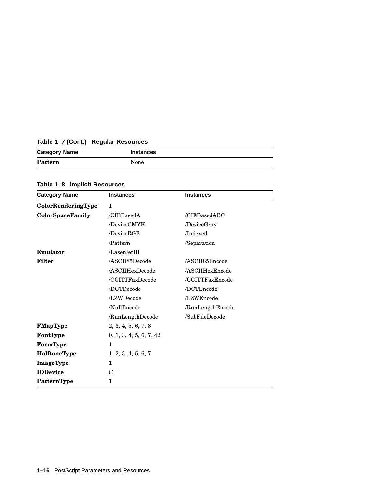| Table 1-7 (Cont.) Regular Resources |  |
|-------------------------------------|--|
|-------------------------------------|--|

| <b>Category Name</b> | <b>Instances</b> |
|----------------------|------------------|
| Pattern              | None             |

**Table 1–8 Implicit Resources**

| <b>Category Name</b> | <b>Instances</b>        | <b>Instances</b> |
|----------------------|-------------------------|------------------|
| ColorRenderingType   | $\mathbf{1}$            |                  |
| ColorSpaceFamily     | /CIEBasedA              | /CIEBasedABC     |
|                      | /DeviceCMYK             | /DeviceGray      |
|                      | /DeviceRGB              | /Indexed         |
|                      | /Pattern                | /Separation      |
| Emulator             | /LaserJetIII            |                  |
| <b>Filter</b>        | /ASCII85Decode          | /ASCII85Encode   |
|                      | /ASCIIHexDecode         | /ASCIIHexEncode  |
|                      | /CCITTFaxDecode         | /CCITTFaxEncode  |
|                      | /DCTDecode              | /DCTEncode       |
|                      | /LZWDecode              | /LZWEncode       |
|                      | /NullEncode             | /RunLengthEncode |
|                      | /RunLengthDecode        | /SubFileDecode   |
| FMapType             | 2, 3, 4, 5, 6, 7, 8     |                  |
| FontType             | 0, 1, 3, 4, 5, 6, 7, 42 |                  |
| FormType             | $\mathbf{1}$            |                  |
| <b>HalftoneType</b>  | 1, 2, 3, 4, 5, 6, 7     |                  |
| ImageType            | 1                       |                  |
| <b>IODevice</b>      | $\left( \right)$        |                  |
| PatternType          | 1                       |                  |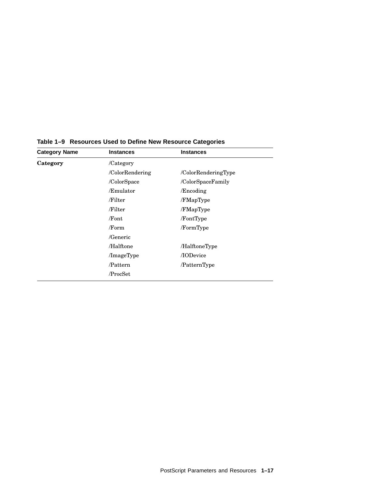| <b>Category Name</b> | <b>Instances</b> | <b>Instances</b>    |  |
|----------------------|------------------|---------------------|--|
| Category             | /Category        |                     |  |
|                      | /ColorRendering  | /ColorRenderingType |  |
|                      | /ColorSpace      | /ColorSpaceFamily   |  |
|                      | /Emulator        | /Encoding           |  |
|                      | /Filter          | /FMapType           |  |
|                      | /Filter          | /FMapType           |  |
|                      | /Font            | /FontType           |  |
|                      | /Form            | /FormType           |  |
|                      | /Generic         |                     |  |
|                      | /Halftone        | /HalftoneType       |  |
|                      | /ImageType       | /IODevice           |  |
|                      | /Pattern         | /PatternType        |  |
|                      | /ProcSet         |                     |  |

**Table 1–9 Resources Used to Define New Resource Categories**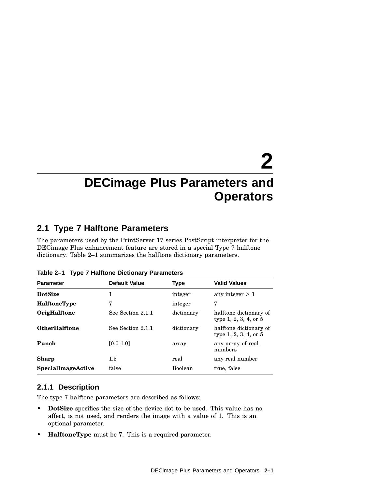## **2 DECimage Plus Parameters and Operators**

## **2.1 Type 7 Halftone Parameters**

The parameters used by the PrintServer 17 series PostScript interpreter for the DECimage Plus enhancement feature are stored in a special Type 7 halftone dictionary. Table 2–1 summarizes the halftone dictionary parameters.

| <b>Parameter</b>     | <b>Default Value</b> | <b>Type</b> | <b>Valid Values</b>                                  |
|----------------------|----------------------|-------------|------------------------------------------------------|
| <b>DotSize</b>       | 1                    | integer     | any integer $> 1$                                    |
| <b>HalftoneType</b>  | 7                    | integer     | 7                                                    |
| <b>OrigHalftone</b>  | See Section 2.1.1    | dictionary  | halftone dictionary of<br>type 1, 2, 3, 4, or $5$    |
| <b>OtherHalftone</b> | See Section 2.1.1    | dictionary  | halftone dictionary of<br>type $1, 2, 3, 4$ , or $5$ |
| Punch                | [0.0 1.0]            | array       | any array of real<br>numbers                         |
| <b>Sharp</b>         | $1.5\,$              | real        | any real number                                      |
| SpecialImageActive   | false                | Boolean     | true, false                                          |

**Table 2–1 Type 7 Halftone Dictionary Parameters**

#### **2.1.1 Description**

The type 7 halftone parameters are described as follows:

- **DotSize** specifies the size of the device dot to be used. This value has no affect, is not used, and renders the image with a value of 1. This is an optional parameter.
- **HalftoneType** must be 7. This is a required parameter.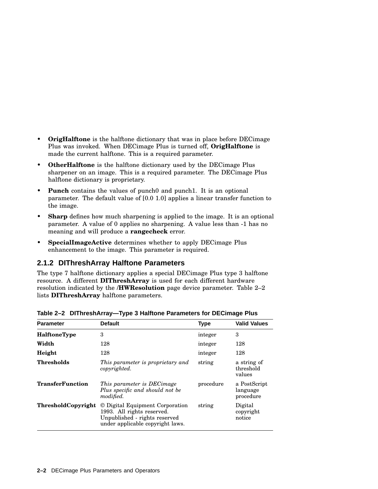- **OrigHalftone** is the halftone dictionary that was in place before DECimage Plus was invoked. When DECimage Plus is turned off, **OrigHalftone** is made the current halftone. This is a required parameter.
- **OtherHalftone** is the halftone dictionary used by the DECimage Plus sharpener on an image. This is a required parameter. The DECimage Plus halftone dictionary is proprietary.
- **Punch** contains the values of punch<sub>0</sub> and punch<sub>1</sub>. It is an optional parameter. The default value of [0.0 1.0] applies a linear transfer function to the image.
- **Sharp** defines how much sharpening is applied to the image. It is an optional parameter. A value of 0 applies no sharpening. A value less than -1 has no meaning and will produce a **rangecheck** error.
- **SpecialImageActive** determines whether to apply DECimage Plus enhancement to the image. This parameter is required.

#### **2.1.2 DIThreshArray Halftone Parameters**

The type 7 halftone dictionary applies a special DECimage Plus type 3 halftone resource. A different **DIThreshArray** is used for each different hardware resolution indicated by the **/HWResolution** page device parameter. Table 2–2 lists **DIThreshArray** halftone parameters.

| <b>Parameter</b>          | <b>Default</b>                                                                                                                     | <b>Type</b> | <b>Valid Values</b>                   |
|---------------------------|------------------------------------------------------------------------------------------------------------------------------------|-------------|---------------------------------------|
| <b>HalftoneType</b>       | 3                                                                                                                                  | integer     | 3                                     |
| Width                     | 128                                                                                                                                | integer     | 128                                   |
| Height                    | 128                                                                                                                                | integer     | 128                                   |
| <b>Thresholds</b>         | This parameter is proprietary and<br>copyrighted.                                                                                  | string      | a string of<br>threshold<br>values    |
| <b>TransferFunction</b>   | This parameter is DECimage<br>Plus specific and should not be<br>modified.                                                         | procedure   | a PostScript<br>language<br>procedure |
| <b>ThresholdCopyright</b> | © Digital Equipment Corporation<br>1993. All rights reserved.<br>Unpublished - rights reserved<br>under applicable copyright laws. | string      | Digital<br>copyright<br>notice        |

**Table 2–2 DIThreshArray—Type 3 Halftone Parameters for DECimage Plus**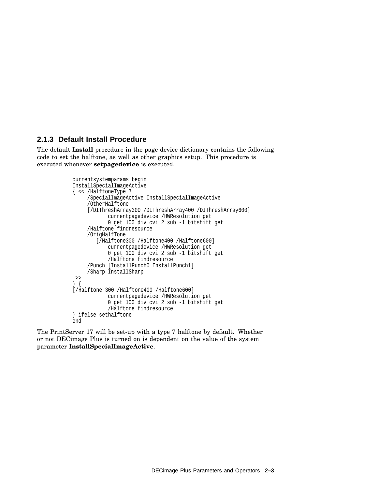#### **2.1.3 Default Install Procedure**

The default **Install** procedure in the page device dictionary contains the following code to set the halftone, as well as other graphics setup. This procedure is executed whenever **setpagedevice** is executed.

```
currentsystemparams begin
InstallSpecialImageActive
{ << /HalftoneType 7
     /SpecialImageActive InstallSpecialImageActive
     /OtherHalftone
     [/DIThreshArray300 /DIThreshArray400 /DIThreshArray600]
            currentpagedevice /HWResolution get
            0 get 100 div cvi 2 sub -1 bitshift get
     /Halftone findresource
     /OrigHalfTone
        [/Halftone300 /Halftone400 /Halftone600]
            currentpagedevice /HWResolution get
            0 get 100 div cvi 2 sub -1 bitshift get
            /Halftone findresource
     /Punch [InstallPunch0 InstallPunch1]
     /Sharp InstallSharp
>>
} {
[/Halftone 300 /Halftone400 /Halftone600]
            currentpagedevice /HWResolution get
            0 get 100 div cvi 2 sub -1 bitshift get
            /Halftone findresource
} ifelse sethalftone
end
```
The PrintServer 17 will be set-up with a type 7 halftone by default. Whether or not DECimage Plus is turned on is dependent on the value of the system parameter **InstallSpecialImageActive**.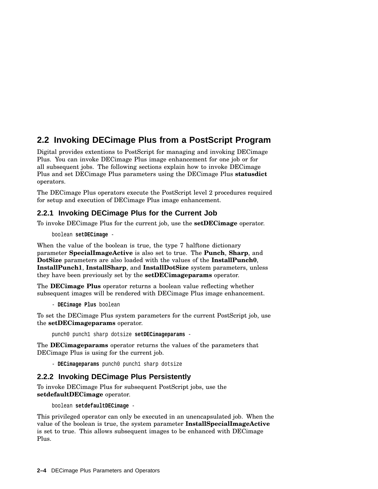## **2.2 Invoking DECimage Plus from a PostScript Program**

Digital provides extentions to PostScript for managing and invoking DECimage Plus. You can invoke DECimage Plus image enhancement for one job or for all subsequent jobs. The following sections explain how to invoke DECimage Plus and set DECimage Plus parameters using the DECimage Plus **statusdict** operators.

The DECimage Plus operators execute the PostScript level 2 procedures required for setup and execution of DECimage Plus image enhancement.

#### **2.2.1 Invoking DECimage Plus for the Current Job**

To invoke DECimage Plus for the current job, use the **setDECimage** operator.

boolean **setDECimage** -

When the value of the boolean is true, the type 7 halftone dictionary parameter **SpecialImageActive** is also set to true. The **Punch**, **Sharp**, and **DotSize** parameters are also loaded with the values of the **InstallPunch0**, **InstallPunch1**, **InstallSharp**, and **InstallDotSize** system parameters, unless they have been previously set by the **setDECimageparams** operator.

The **DECimage Plus** operator returns a boolean value reflecting whether subsequent images will be rendered with DECimage Plus image enhancement.

- **DECimage Plus** boolean

To set the DECimage Plus system parameters for the current PostScript job, use the **setDECimageparams** operator.

punch0 punch1 sharp dotsize **setDECimageparams** -

The **DECimageparams** operator returns the values of the parameters that DECimage Plus is using for the current job.

- **DECimageparams** punch0 punch1 sharp dotsize

#### **2.2.2 Invoking DECimage Plus Persistently**

To invoke DECimage Plus for subsequent PostScript jobs, use the **setdefaultDECimage** operator.

boolean **setdefaultDECimage** -

This privileged operator can only be executed in an unencapsulated job. When the value of the boolean is true, the system parameter **InstallSpecialImageActive** is set to true. This allows subsequent images to be enhanced with DECimage Plus.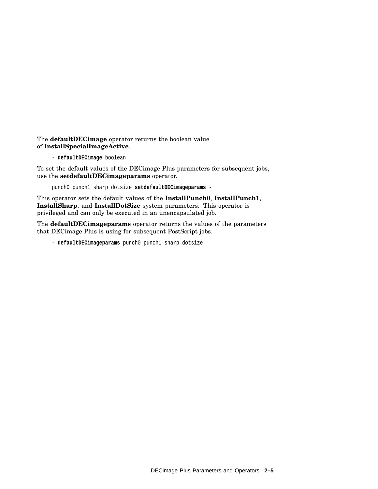The **defaultDECimage** operator returns the boolean value of **InstallSpecialImageActive**.

- **defaultDECimage** boolean

To set the default values of the DECimage Plus parameters for subsequent jobs, use the **setdefaultDECimageparams** operator.

punch0 punch1 sharp dotsize **setdefaultDECimageparams** -

This operator sets the default values of the **InstallPunch0**, **InstallPunch1**, **InstallSharp**, and **InstallDotSize** system parameters. This operator is privileged and can only be executed in an unencapsulated job.

The **defaultDECimageparams** operator returns the values of the parameters that DECimage Plus is using for subsequent PostScript jobs.

- **defaultDECimageparams** punch0 punch1 sharp dotsize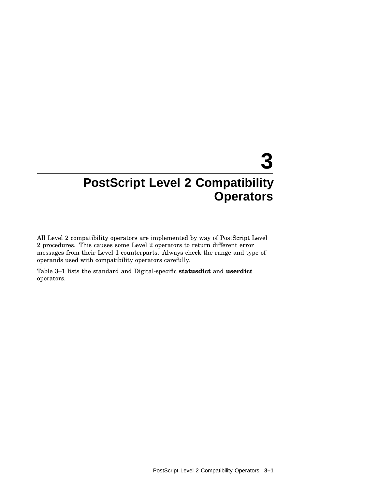## **3 PostScript Level 2 Compatibility Operators**

All Level 2 compatibility operators are implemented by way of PostScript Level 2 procedures. This causes some Level 2 operators to return different error messages from their Level 1 counterparts. Always check the range and type of operands used with compatibility operators carefully.

Table 3–1 lists the standard and Digital-specific **statusdict** and **userdict** operators.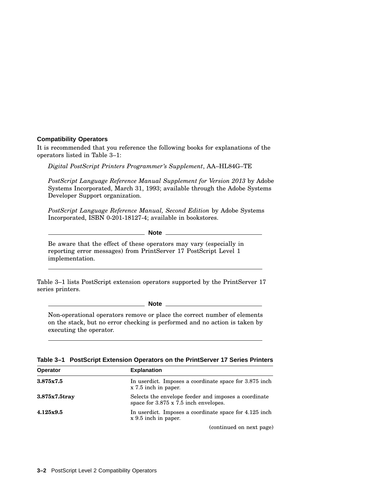#### **Compatibility Operators**

It is recommended that you reference the following books for explanations of the operators listed in Table 3–1:

*Digital PostScript Printers Programmer's Supplement*, AA–HL84G–TE

*PostScript Language Reference Manual Supplement for Version 2013* by Adobe Systems Incorporated, March 31, 1993; available through the Adobe Systems Developer Support organization.

*PostScript Language Reference Manual, Second Edition* by Adobe Systems Incorporated, ISBN 0-201-18127-4; available in bookstores.

**Note**

Be aware that the effect of these operators may vary (especially in reporting error messages) from PrintServer 17 PostScript Level 1 implementation.

Table 3–1 lists PostScript extension operators supported by the PrintServer 17 series printers.

**Note**

Non-operational operators remove or place the correct number of elements on the stack, but no error checking is performed and no action is taken by executing the operator.

|  | Table 3-1 PostScript Extension Operators on the PrintServer 17 Series Printers |  |  |  |
|--|--------------------------------------------------------------------------------|--|--|--|
|--|--------------------------------------------------------------------------------|--|--|--|

| <b>Operator</b>  | <b>Explanation</b>                                                                                   |
|------------------|------------------------------------------------------------------------------------------------------|
| 3.875x7.5        | In userdict. Imposes a coordinate space for 3.875 inch.<br>x 7.5 inch in paper.                      |
| $3.875x7.5$ tray | Selects the envelope feeder and imposes a coordinate<br>space for $3.875 \times 7.5$ inch envelopes. |
| 4.125x9.5        | In userdict. Imposes a coordinate space for 4.125 inch.<br>x 9.5 inch in paper.                      |
|                  |                                                                                                      |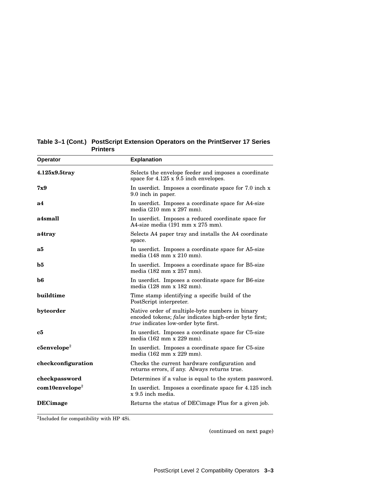| Operator                   | <b>Explanation</b>                                                                                                                                              |
|----------------------------|-----------------------------------------------------------------------------------------------------------------------------------------------------------------|
| $4.125x9.5$ tray           | Selects the envelope feeder and imposes a coordinate<br>space for 4.125 x 9.5 inch envelopes.                                                                   |
| 7x9                        | In userdict. Imposes a coordinate space for 7.0 inch x<br>9.0 inch in paper.                                                                                    |
| а4                         | In userdict. Imposes a coordinate space for A4-size<br>media (210 mm x 297 mm).                                                                                 |
| a4small                    | In userdict. Imposes a reduced coordinate space for<br>A4-size media $(191 \text{ mm} \times 275 \text{ mm})$ .                                                 |
| a4tray                     | Selects A4 paper tray and installs the A4 coordinate<br>space.                                                                                                  |
| a5                         | In userdict. Imposes a coordinate space for A5-size<br>media (148 mm x 210 mm).                                                                                 |
| b5                         | In userdict. Imposes a coordinate space for B5-size<br>media (182 mm x 257 mm).                                                                                 |
| $\bf{b6}$                  | In userdict. Imposes a coordinate space for B6-size<br>media (128 mm x 182 mm).                                                                                 |
| buildtime                  | Time stamp identifying a specific build of the<br>PostScript interpreter.                                                                                       |
| byteorder                  | Native order of multiple-byte numbers in binary<br>encoded tokens; <i>false</i> indicates high-order byte first;<br><i>true</i> indicates low-order byte first. |
| c5                         | In userdict. Imposes a coordinate space for C5-size<br>media (162 mm x 229 mm).                                                                                 |
| $c5envelope2$              | In userdict. Imposes a coordinate space for C5-size<br>media (162 mm x 229 mm).                                                                                 |
| checkconfiguration         | Checks the current hardware configuration and<br>returns errors, if any. Always returns true.                                                                   |
| checkpassword              | Determines if a value is equal to the system password.                                                                                                          |
| com10envelope <sup>2</sup> | In userdict. Imposes a coordinate space for 4.125 inch<br>x 9.5 inch media.                                                                                     |
| <b>DECimage</b>            | Returns the status of DEC image Plus for a given job.                                                                                                           |

**Table 3–1 (Cont.) PostScript Extension Operators on the PrintServer 17 Series Printers**

2 Included for compatibility with HP 4Si.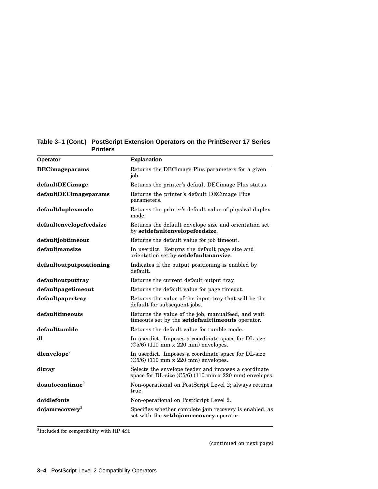| <b>Operator</b>             | <b>Explanation</b>                                                                                            |
|-----------------------------|---------------------------------------------------------------------------------------------------------------|
| <b>DECimageparams</b>       | Returns the DECimage Plus parameters for a given<br>job.                                                      |
| defaultDECimage             | Returns the printer's default DEC image Plus status.                                                          |
| defaultDECimageparams       | Returns the printer's default DECimage Plus<br>parameters.                                                    |
| defaultduplexmode           | Returns the printer's default value of physical duplex<br>mode.                                               |
| defaultenvelopefeedsize     | Returns the default envelope size and orientation set<br>by setdefaultenvelopefeedsize.                       |
| defaultjobtimeout           | Returns the default value for job timeout.                                                                    |
| defaultmansize              | In userdict. Returns the default page size and<br>orientation set by setdefaultmansize.                       |
| defaultoutputpositioning    | Indicates if the output positioning is enabled by<br>default.                                                 |
| defaultoutputtray           | Returns the current default output tray.                                                                      |
| defaultpagetimeout          | Returns the default value for page timeout.                                                                   |
| defaultpapertray            | Returns the value of the input tray that will be the<br>default for subsequent jobs.                          |
| defaulttimeouts             | Returns the value of the job, manualfeed, and wait<br>timeouts set by the <b>setdefaultimeouts</b> operator.  |
| defaulttumble               | Returns the default value for tumble mode.                                                                    |
| dl                          | In userdict. Imposes a coordinate space for DL-size<br>$(C5/6)$ (110 mm x 220 mm) envelopes.                  |
| dlenvelope <sup>2</sup>     | In userdict. Imposes a coordinate space for DL-size<br>$(C5/6)$ (110 mm x 220 mm) envelopes.                  |
| dltray                      | Selects the envelope feeder and imposes a coordinate<br>space for DL-size (C5/6) (110 mm x 220 mm) envelopes. |
| doautocontinue <sup>2</sup> | Non-operational on PostScript Level 2; always returns<br>true.                                                |
| doidlefonts                 | Non-operational on PostScript Level 2.                                                                        |
| $\bf{dojamrecovers^2}$      | Specifies whether complete jam recovery is enabled, as<br>set with the <b>setdojamrecovery</b> operator.      |

2 Included for compatibility with HP 4Si.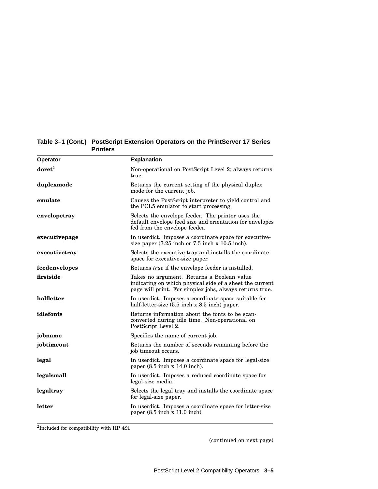| Operator           | <b>Explanation</b>                                                                                                                                                |
|--------------------|-------------------------------------------------------------------------------------------------------------------------------------------------------------------|
| $\mathbf{doret}^2$ | Non-operational on PostScript Level 2; always returns<br>true.                                                                                                    |
| duplexmode         | Returns the current setting of the physical duplex<br>mode for the current job.                                                                                   |
| emulate            | Causes the PostScript interpreter to yield control and<br>the PCL5 emulator to start processing.                                                                  |
| envelopetray       | Selects the envelope feeder. The printer uses the<br>default envelope feed size and orientation for envelopes<br>fed from the envelope feeder.                    |
| executivepage      | In userdict. Imposes a coordinate space for executive-<br>size paper $(7.25$ inch or $7.5$ inch x 10.5 inch).                                                     |
| executivetray      | Selects the executive tray and installs the coordinate<br>space for executive-size paper.                                                                         |
| feedenvelopes      | Returns <i>true</i> if the envelope feeder is installed.                                                                                                          |
| firstside          | Takes no argument. Returns a Boolean value<br>indicating on which physical side of a sheet the current<br>page will print. For simplex jobs, always returns true. |
| halfletter         | In userdict. Imposes a coordinate space suitable for<br>half-letter-size $(5.5$ inch x $8.5$ inch) paper.                                                         |
| idlefonts          | Returns information about the fonts to be scan-<br>converted during idle time. Non-operational on<br>PostScript Level 2.                                          |
| jobname            | Specifies the name of current job.                                                                                                                                |
| jobtimeout         | Returns the number of seconds remaining before the<br>job timeout occurs.                                                                                         |
| legal              | In userdict. Imposes a coordinate space for legal-size<br>paper $(8.5 \text{ inch} \times 14.0 \text{ inch})$ .                                                   |
| legalsmall         | In userdict. Imposes a reduced coordinate space for<br>legal-size media.                                                                                          |
| legaltray          | Selects the legal tray and installs the coordinate space<br>for legal-size paper.                                                                                 |
| letter             | In userdict. Imposes a coordinate space for letter-size<br>paper $(8.5$ inch $x$ 11.0 inch).                                                                      |

**Table 3–1 (Cont.) PostScript Extension Operators on the PrintServer 17 Series Printers**

2 Included for compatibility with HP 4Si.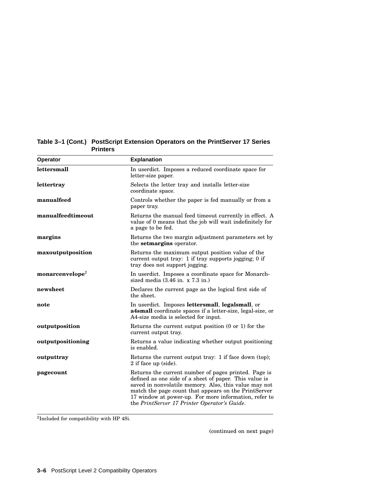| <b>Operator</b>             | <b>Explanation</b>                                                                                                                                                                                                                                                                                                                       |
|-----------------------------|------------------------------------------------------------------------------------------------------------------------------------------------------------------------------------------------------------------------------------------------------------------------------------------------------------------------------------------|
| lettersmall                 | In userdict. Imposes a reduced coordinate space for<br>letter-size paper.                                                                                                                                                                                                                                                                |
| lettertray                  | Selects the letter tray and installs letter-size<br>coordinate space.                                                                                                                                                                                                                                                                    |
| manualfeed                  | Controls whether the paper is fed manually or from a<br>paper tray.                                                                                                                                                                                                                                                                      |
| manualfeedtimeout           | Returns the manual feed timeout currently in effect. A<br>value of 0 means that the job will wait indefinitely for<br>a page to be fed.                                                                                                                                                                                                  |
| margins                     | Returns the two margin adjustment parameters set by<br>the <b>setmargins</b> operator.                                                                                                                                                                                                                                                   |
| maxoutputposition           | Returns the maximum output position value of the<br>current output tray: 1 if tray supports jogging; 0 if<br>tray does not support jogging.                                                                                                                                                                                              |
| monarcenvelope <sup>2</sup> | In userdict. Imposes a coordinate space for Monarch-<br>sized media $(3.46 \text{ in. } x 7.3 \text{ in.})$                                                                                                                                                                                                                              |
| newsheet                    | Declares the current page as the logical first side of<br>the sheet.                                                                                                                                                                                                                                                                     |
| note                        | In userdict. Imposes lettersmall, legalsmall, or<br>a4small coordinate spaces if a letter-size, legal-size, or<br>A4-size media is selected for input.                                                                                                                                                                                   |
| outputposition              | Returns the current output position (0 or 1) for the<br>current output tray.                                                                                                                                                                                                                                                             |
| outputpositioning           | Returns a value indicating whether output positioning<br>is enabled.                                                                                                                                                                                                                                                                     |
| outputtray                  | Returns the current output tray: 1 if face down (top);<br>2 if face up (side).                                                                                                                                                                                                                                                           |
| pagecount                   | Returns the current number of pages printed. Page is<br>defined as one side of a sheet of paper. This value is<br>saved in nonvolatile memory. Also, this value may not<br>match the page count that appears on the PrintServer<br>17 window at power-up. For more information, refer to<br>the PrintServer 17 Printer Operator's Guide. |

**Table 3–1 (Cont.) PostScript Extension Operators on the PrintServer 17 Series Printers**

2 Included for compatibility with HP 4Si.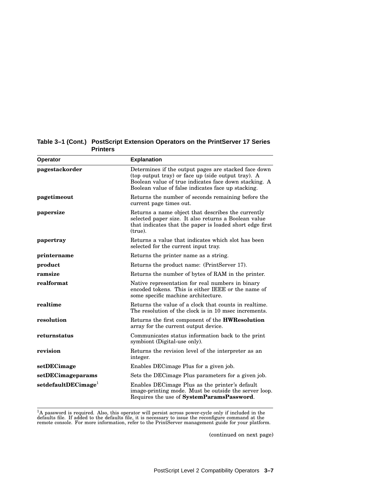| <b>Operator</b>                   | <b>Explanation</b>                                                                                                                                                                                                        |
|-----------------------------------|---------------------------------------------------------------------------------------------------------------------------------------------------------------------------------------------------------------------------|
| pagestackorder                    | Determines if the output pages are stacked face down<br>(top output tray) or face up (side output tray). A<br>Boolean value of true indicates face down stacking. A<br>Boolean value of false indicates face up stacking. |
| pagetimeout                       | Returns the number of seconds remaining before the<br>current page times out.                                                                                                                                             |
| papersize                         | Returns a name object that describes the currently<br>selected paper size. It also returns a Boolean value<br>that indicates that the paper is loaded short edge first<br>(true).                                         |
| papertray                         | Returns a value that indicates which slot has been<br>selected for the current input tray.                                                                                                                                |
| printername                       | Returns the printer name as a string.                                                                                                                                                                                     |
| product                           | Returns the product name: (PrintServer 17).                                                                                                                                                                               |
| ramsize                           | Returns the number of bytes of RAM in the printer.                                                                                                                                                                        |
| realformat                        | Native representation for real numbers in binary<br>encoded tokens. This is either IEEE or the name of<br>some specific machine architecture.                                                                             |
| realtime                          | Returns the value of a clock that counts in realtime.<br>The resolution of the clock is in 10 msec increments.                                                                                                            |
| resolution                        | Returns the first component of the <b>HWResolution</b><br>array for the current output device.                                                                                                                            |
| returnstatus                      | Communicates status information back to the print<br>symbiont (Digital-use only).                                                                                                                                         |
| revision                          | Returns the revision level of the interpreter as an<br>integer.                                                                                                                                                           |
| setDECimage                       | Enables DECimage Plus for a given job.                                                                                                                                                                                    |
| setDECimageparams                 | Sets the DECimage Plus parameters for a given job.                                                                                                                                                                        |
| set default DECimage <sup>1</sup> | Enables DEC image Plus as the printer's default<br>image-printing mode. Must be outside the server loop.<br>Requires the use of SystemParamsPassword.                                                                     |

 ${}^{1}A$  password is required. Also, this operator will persist across power-cycle only if included in the defaults file. If added to the defaults file, it is necessary to issue the reconfigure command at the remote consol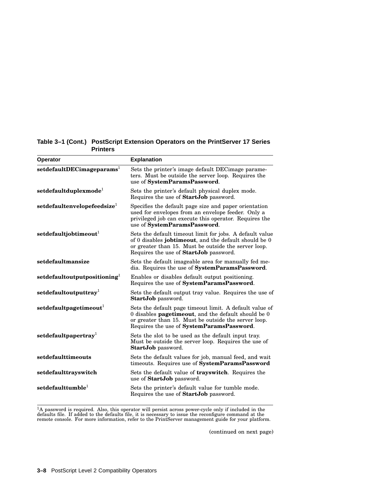| <b>Operator</b>                         | <b>Explanation</b>                                                                                                                                                                                                                 |
|-----------------------------------------|------------------------------------------------------------------------------------------------------------------------------------------------------------------------------------------------------------------------------------|
| $set default DEC imageparams1$          | Sets the printer's image default DECimage parame-<br>ters. Must be outside the server loop. Requires the<br>use of SystemParamsPassword.                                                                                           |
| set default duplexmode <sup>1</sup>     | Sets the printer's default physical duplex mode.<br>Requires the use of StartJob password.                                                                                                                                         |
| setdefaultenvelopefeedsize <sup>1</sup> | Specifies the default page size and paper orientation<br>used for envelopes from an envelope feeder. Only a<br>privileged job can execute this operator. Requires the<br>use of SystemParamsPassword.                              |
| set default job time out <sup>1</sup>   | Sets the default timeout limit for jobs. A default value<br>of 0 disables <b>jobtimeout</b> , and the default should be 0<br>or greater than 15. Must be outside the server loop.<br>Requires the use of <b>StartJob</b> password. |
| setdefaultmansize                       | Sets the default imageable area for manually fed me-<br>dia. Requires the use of <b>SystemParamsPassword</b> .                                                                                                                     |
| $set default output positioning1$       | Enables or disables default output positioning.<br>Requires the use of SystemParamsPassword.                                                                                                                                       |
| setdefaultoutputtray                    | Sets the default output tray value. Requires the use of<br><b>StartJob</b> password.                                                                                                                                               |
| set default page time out <sup>1</sup>  | Sets the default page timeout limit. A default value of<br>0 disables <b>pagetimeout</b> , and the default should be 0<br>or greater than 15. Must be outside the server loop.<br>Requires the use of SystemParamsPassword.        |
| ${\bf set default paper} {\bf try}^1$   | Sets the slot to be used as the default input tray.<br>Must be outside the server loop. Requires the use of<br>StartJob password.                                                                                                  |
| setdefaulttimeouts                      | Sets the default values for job, manual feed, and wait<br>timeouts. Requires use of SystemParamsPassword                                                                                                                           |
| setdefaulttrayswitch                    | Sets the default value of <b>trayswitch</b> . Requires the<br>use of StartJob password.                                                                                                                                            |
| $set$ defaulttumble $^{1}$              | Sets the printer's default value for tumble mode.<br>Requires the use of StartJob password.                                                                                                                                        |

 ${}^{1}A$  password is required. Also, this operator will persist across power-cycle only if included in the defaults file. If added to the defaults file, it is necessary to issue the reconfigure command at the remote consol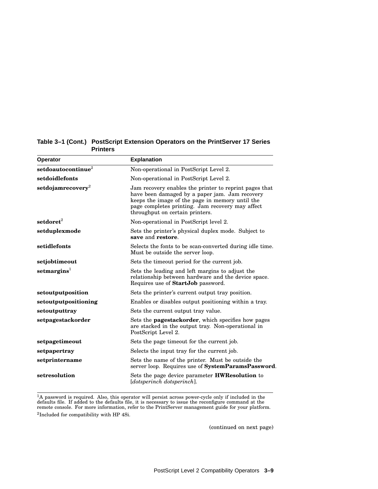| Operator                      | <b>Explanation</b>                                                                                                                                                                                                                                 |
|-------------------------------|----------------------------------------------------------------------------------------------------------------------------------------------------------------------------------------------------------------------------------------------------|
| ${\bf set doauto continue}^2$ | Non-operational in PostScript Level 2.                                                                                                                                                                                                             |
| setdoidlefonts                | Non-operational in PostScript Level 2.                                                                                                                                                                                                             |
| ${\bf setdojamrecovery}^2$    | Jam recovery enables the printer to reprint pages that<br>have been damaged by a paper jam. Jam recovery<br>keeps the image of the page in memory until the<br>page completes printing. Jam recovery may affect<br>throughput on certain printers. |
| $\mathbf{setdoret}^2$         | Non-operational in PostScript level 2.                                                                                                                                                                                                             |
| setduplexmode                 | Sets the printer's physical duplex mode. Subject to<br>save and restore.                                                                                                                                                                           |
| setidlefonts                  | Selects the fonts to be scan-converted during idle time.<br>Must be outside the server loop.                                                                                                                                                       |
| setjobtimeout                 | Sets the timeout period for the current job.                                                                                                                                                                                                       |
| setmargins <sup>1</sup>       | Sets the leading and left margins to adjust the<br>relationship between hardware and the device space.<br>Requires use of StartJob password.                                                                                                       |
| setoutputposition             | Sets the printer's current output tray position.                                                                                                                                                                                                   |
| setoutputpositioning          | Enables or disables output positioning within a tray.                                                                                                                                                                                              |
| setoutputtray                 | Sets the current output tray value.                                                                                                                                                                                                                |
| setpagestackorder             | Sets the <b>pagestackorder</b> , which specifies how pages<br>are stacked in the output tray. Non-operational in<br>PostScript Level 2.                                                                                                            |
| setpagetimeout                | Sets the page timeout for the current job.                                                                                                                                                                                                         |
| setpapertray                  | Selects the input tray for the current job.                                                                                                                                                                                                        |
| setprintername                | Sets the name of the printer. Must be outside the<br>server loop. Requires use of SystemParamsPassword.                                                                                                                                            |
| setresolution                 | Sets the page device parameter <b>HWResolution</b> to<br>[dotsperinch dotsperinch].                                                                                                                                                                |

 ${}^{1}A$  password is required. Also, this operator will persist across power-cycle only if included in the defaults file. If added to the defaults file, it is necessary to issue the reconfigure command at the remote consol

2 Included for compatibility with HP 4Si.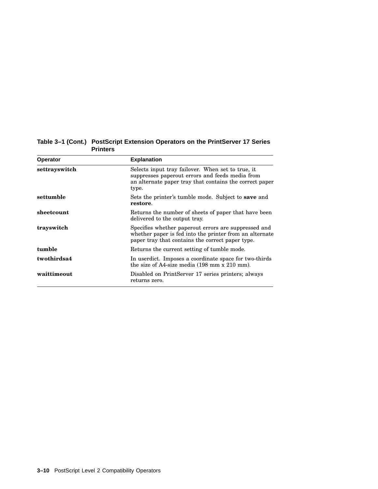| <b>Operator</b> | <b>Explanation</b>                                                                                                                                                       |  |
|-----------------|--------------------------------------------------------------------------------------------------------------------------------------------------------------------------|--|
| settrayswitch   | Selects input tray failover. When set to true, it<br>suppresses paperout errors and feeds media from<br>an alternate paper tray that contains the correct paper<br>type. |  |
| settumble       | Sets the printer's tumble mode. Subject to <b>save</b> and<br>restore.                                                                                                   |  |
| sheetcount      | Returns the number of sheets of paper that have been<br>delivered to the output tray.                                                                                    |  |
| trayswitch      | Specifies whether paperout errors are suppressed and<br>whether paper is fed into the printer from an alternate<br>paper tray that contains the correct paper type.      |  |
| tumble          | Returns the current setting of tumble mode.                                                                                                                              |  |
| twothirdsa4     | In userdict. Imposes a coordinate space for two-thirds<br>the size of A4-size media (198 mm x 210 mm).                                                                   |  |
| waittimeout     | Disabled on PrintServer 17 series printers; always<br>returns zero.                                                                                                      |  |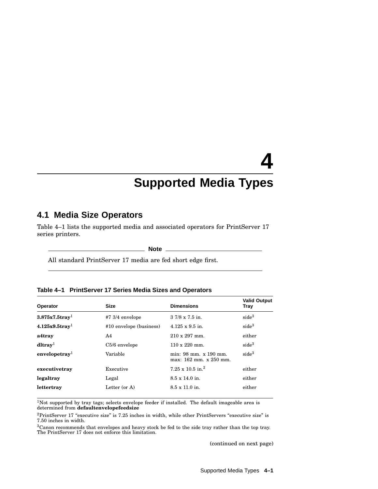## **4 Supported Media Types**

## **4.1 Media Size Operators**

Table 4–1 lists the supported media and associated operators for PrintServer 17 series printers.

**Note**

All standard PrintServer 17 media are fed short edge first.

| Table 4-1 PrintServer 17 Series Media Sizes and Operators |  |
|-----------------------------------------------------------|--|
|-----------------------------------------------------------|--|

| Operator                      | <b>Size</b>              | <b>Dimensions</b>                               | <b>Valid Output</b><br>Tray |
|-------------------------------|--------------------------|-------------------------------------------------|-----------------------------|
| $3.875x7.5$ tray <sup>1</sup> | $#7\frac{3}{4}$ envelope | $37/8 \times 7.5$ in.                           | side <sup>3</sup>           |
| $4.125x9.5$ tray <sup>1</sup> | #10 envelope (business)  | $4.125 \times 9.5$ in.                          | side <sup>3</sup>           |
| a4tray                        | A4                       | $210 \times 297$ mm.                            | either                      |
| $dl$ tray <sup>1</sup>        | $C5/6$ envelope          | $110 \times 220$ mm.                            | side <sup>3</sup>           |
| envelopetray <sup>1</sup>     | Variable                 | min: 98 mm. x 190 mm.<br>max: 162 mm. x 250 mm. | side <sup>3</sup>           |
| executivetray                 | Executive                | $7.25 \times 10.5$ in. <sup>2</sup>             | either                      |
| legaltray                     | Legal                    | $8.5 \times 14.0$ in.                           | either                      |
| lettertray                    | Letter (or A)            | $8.5 \times 11.0$ in.                           | either                      |

<sup>1</sup>Not supported by tray tags; selects envelope feeder if installed. The default imageable area is determined from **defaultenvelopefeedsize**

 $2$ PrintServer 17 "executive size" is 7.25 inches in width, while other PrintServers "executive size" is 7.50 inches in width.

 $3$ Canon recommends that envelopes and heavy stock be fed to the side tray rather than the top tray.<br>The PrintServer 17 does not enforce this limitation.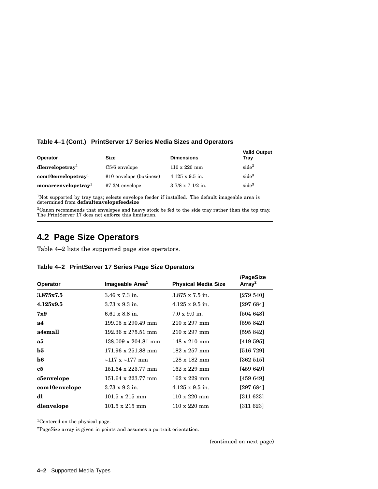**Table 4–1 (Cont.) PrintServer 17 Series Media Sizes and Operators**

| Operator                          | <b>Size</b>              | <b>Dimensions</b>      | <b>Valid Output</b><br>Trav |
|-----------------------------------|--------------------------|------------------------|-----------------------------|
| $dl$ envelopetray <sup>1</sup>    | $C5/6$ envelope          | $110 \times 220$ mm    | side <sup>3</sup>           |
| $com10$ envelopetray <sup>1</sup> | #10 envelope (business)  | $4.125 \times 9.5$ in. | side <sup>3</sup>           |
| monarcenvelopetray <sup>1</sup>   | $#7\frac{3}{4}$ envelope | $37/8 \times 71/2$ in. | side <sup>3</sup>           |

 $1$ Not supported by tray tags; selects envelope feeder if installed. The default imageable area is determined from **defaultenvelopefeedsize**

 ${}^{3}$ Canon recommends that envelopes and heavy stock be fed to the side tray rather than the top tray.<br>The PrintServer 17 does not enforce this limitation.

### **4.2 Page Size Operators**

Table 4–2 lists the supported page size operators.

|                 |                                   |                            | /PageSize          |
|-----------------|-----------------------------------|----------------------------|--------------------|
| <b>Operator</b> | Imageable Area <sup>1</sup>       | <b>Physical Media Size</b> | Array <sup>2</sup> |
| 3.875x7.5       | $3.46 \times 7.3$ in.             | $3.875 \times 7.5$ in.     | [279 540]          |
| 4.125x9.5       | $3.73 \times 9.3$ in.             | $4.125 \times 9.5$ in.     | [297684]           |
| 7x9             | $6.61 \times 8.8$ in.             | $7.0 \times 9.0$ in.       | [504 648]          |
| a4              | $199.05 \times 290.49$ mm         | $210 \times 297$ mm        | [595 842]          |
| a4small         | $192.36 \times 275.51$ mm         | $210 \times 297$ mm        | [595 842]          |
| a5              | $138.009 \times 204.81$ mm        | $148 \times 210$ mm        | [419 595]          |
| $\bf b5$        | $171.96 \times 251.88 \text{ mm}$ | $182 \times 257$ mm        | [516 729]          |
| $\bf{b6}$       | $\sim$ 117 x $\sim$ 177 mm        | $128 \times 182$ mm        | [362 515]          |
| $_{\rm c5}$     | $151.64 \times 223.77$ mm         | $162 \times 229$ mm        | [459 649]          |
| c5envelope      | $151.64 \times 223.77$ mm         | $162 \times 229$ mm        | [459 649]          |
| com10envelope   | $3.73 \times 9.3$ in.             | $4.125 \times 9.5$ in.     | [297684]           |
| dl              | $101.5 \times 215$ mm             | $110 \times 220$ mm        | [311 623]          |
| dlenvelope      | $101.5 \times 215$ mm             | $110 \times 220$ mm        | [311 623]          |
|                 |                                   |                            |                    |

|  | Table 4–2 PrintServer 17 Series Page Size Operators |  |  |  |
|--|-----------------------------------------------------|--|--|--|
|--|-----------------------------------------------------|--|--|--|

<sup>1</sup>Centered on the physical page.

 ${}^{2}\mathrm{PageSize}$  array is given in points and assumes a portrait orientation.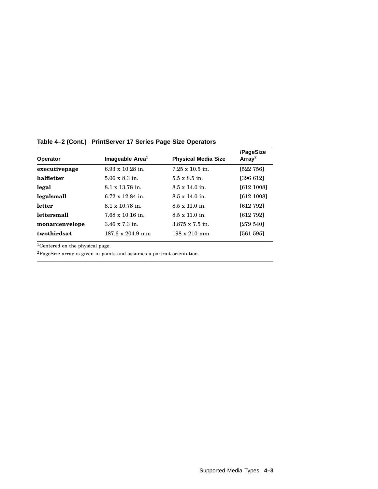| <b>Operator</b> | Imageable Area <sup>1</sup> | <b>Physical Media Size</b> | /PageSize<br>Array <sup>2</sup> |
|-----------------|-----------------------------|----------------------------|---------------------------------|
| executivepage   | $6.93 \times 10.28$ in.     | $7.25 \times 10.5$ in.     | [522 756]                       |
| halfletter      | $5.06 \times 8.3$ in.       | $5.5 \times 8.5$ in.       | [396 612]                       |
| legal           | $8.1 \times 13.78$ in.      | $8.5 \times 14.0$ in.      | [612 1008]                      |
| legalsmall      | $6.72 \times 12.84$ in.     | $8.5 \times 14.0$ in.      | [612 1008]                      |
| letter          | $8.1 \times 10.78$ in.      | $8.5 \times 11.0$ in.      | [612 792]                       |
| lettersmall     | $7.68 \times 10.16$ in.     | $8.5 \times 11.0$ in.      | [612 792]                       |
| monarcenvelope  | $3.46 \times 7.3$ in.       | $3.875 \times 7.5$ in.     | [279 540]                       |
| twothirdsa4     | $187.6 \times 204.9$ mm     | $198 \times 210$ mm        | [561 595]                       |

**Table 4–2 (Cont.) PrintServer 17 Series Page Size Operators**

 $\overline{1$  Centered on the physical page.

<sup>2</sup>PageSize array is given in points and assumes a portrait orientation.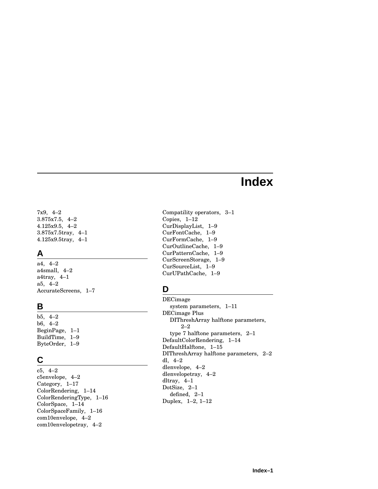## **Index**

7x9, 4–2 3.875x7.5, 4–2 4.125x9.5, 4–2 3.875x7.5tray, 4–1 4.125x9.5tray, 4–1

#### **A**

a4, 4–2 a4small, 4–2 a4tray, 4–1 a5, 4–2 AccurateScreens, 1–7

#### **B**

b5, 4–2 b6, 4–2 BeginPage, 1–1 BuildTime, 1–9 ByteOrder, 1–9

## **C**

c5, 4–2 c5envelope, 4–2 Category, 1–17 ColorRendering, 1–14 ColorRenderingType, 1–16 ColorSpace, 1–14 ColorSpaceFamily, 1–16 com10envelope, 4–2 com10envelopetray, 4–2

Compatility operators, 3–1 Copies, 1–12 CurDisplayList, 1–9 CurFontCache, 1–9 CurFormCache, 1–9 CurOutlineCache, 1–9 CurPatternCache, 1–9 CurScreenStorage, 1–9 CurSourceList, 1–9 CurUPathCache, 1–9

## **D**

DECimage system parameters, 1–11 DECimage Plus DIThreshArray halftone parameters, 2–2 type 7 halftone parameters, 2–1 DefaultColorRendering, 1–14 DefaultHalftone, 1–15 DIThreshArray halftone parameters, 2–2 dl, 4–2 dlenvelope, 4–2 dlenvelopetray, 4–2 dltray, 4–1 DotSize, 2–1 defined, 2–1 Duplex, 1–2, 1–12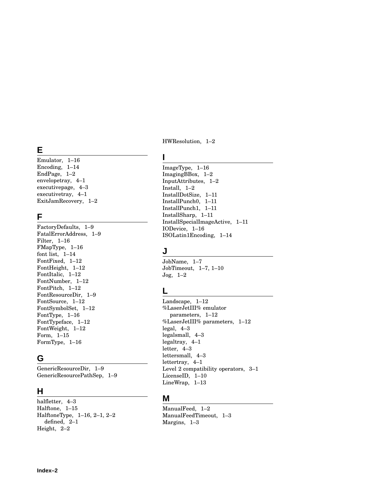## **E**

Emulator, 1–16 Encoding, 1–14 EndPage, 1–2 envelopetray, 4–1 executivepage, 4–3 executivetray, 4–1 ExitJamRecovery, 1–2

#### **F**

FactoryDefaults, 1–9 FatalErrorAddress, 1–9 Filter, 1–16 FMapType, 1–16 font list, 1–14 FontFixed, 1–12 FontHeight, 1–12 FontItalic, 1–12 FontNumber, 1–12 FontPitch, 1–12 FontResourceDir, 1–9 FontSource, 1–12 FontSymbolSet, 1–12 FontType, 1–16 FontTypeface, 1–12 FontWeight, 1–12 Form, 1–15 FormType, 1–16

## **G**

GenericResourceDir, 1–9 GenericResourcePathSep, 1–9

#### **H**

halfletter, 4–3 Halftone, 1–15 HalftoneType, 1–16, 2–1, 2–2 defined, 2–1 Height, 2–2

HWResolution, 1–2

#### **I**

ImageType, 1–16 ImagingBBox, 1–2 InputAttributes, 1–2 Install, 1–2 InstallDotSize, 1–11 InstallPunch0, 1–11 InstallPunch1, 1–11 InstallSharp, 1–11 InstallSpecialImageActive, 1–11 IODevice, 1–16 ISOLatin1Encoding, 1–14

## **J**

JobName, 1–7 JobTimeout, 1–7, 1–10 Jog, 1–2

## **L**

Landscape, 1–12 %LaserJetIII% emulator parameters, 1–12 %LaserJetIII% parameters, 1–12 legal, 4–3 legalsmall, 4–3 legaltray, 4–1 letter, 4–3 lettersmall, 4–3 lettertray, 4–1 Level 2 compatibility operators, 3–1 LicenseID, 1–10 LineWrap, 1–13

#### **M**

ManualFeed, 1–2 ManualFeedTimeout, 1–3 Margins, 1–3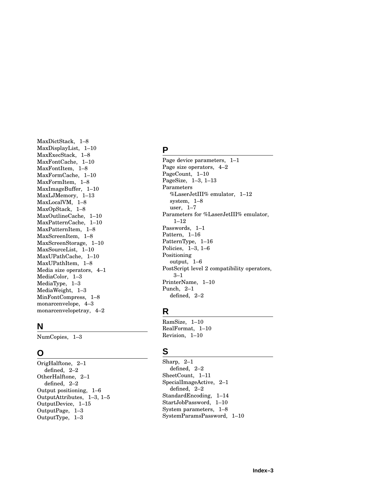MaxDictStack, 1–8 MaxDisplayList, 1–10 MaxExecStack, 1–8 MaxFontCache, 1–10 MaxFontItem, 1–8 MaxFormCache, 1–10 MaxFormItem, 1–8 MaxImageBuffer, 1–10 MaxLJMemory, 1–13 MaxLocalVM, 1–8 MaxOpStack, 1–8 MaxOutlineCache, 1–10 MaxPatternCache, 1–10 MaxPatternItem, 1–8 MaxScreenItem, 1–8 MaxScreenStorage, 1–10 MaxSourceList, 1–10 MaxUPathCache, 1–10 MaxUPathItem, 1–8 Media size operators, 4–1 MediaColor, 1–3 MediaType, 1–3 MediaWeight, 1–3 MinFontCompress, 1–8 monarcenvelope, 4–3 monarcenvelopetray, 4–2

#### **N**

NumCopies, 1–3

## **O**

OrigHalftone, 2–1 defined, 2–2 OtherHalftone, 2–1 defined, 2–2 Output positioning, 1–6 OutputAttributes, 1–3 , 1–5 OutputDevice, 1–15 OutputPage, 1–3 OutputType, 1–3

#### **P**

Page device parameters, 1–1 Page size operators, 4–2 PageCount, 1–10 PageSize, 1–3 , 1–13 Parameters %LaserJetIII% emulator, 1–12 system, 1–8 user, 1–7 Parameters for %LaserJetIII% emulator, 1–12 Passwords, 1–1 Pattern, 1–16 PatternType, 1–16 Policies, 1–3 , 1–6 Positioning output, 1–6 PostScript level 2 compatibility operators, 3–1 PrinterName, 1–10 Punch, 2–1 defined, 2–2

## **R**

RamSize, 1–10 RealFormat, 1–10 Revision, 1–10

## **S**

Sharp, 2–1 defined, 2–2 SheetCount, 1–1 1 SpecialImageActive, 2–1 defined, 2–2 StandardEncoding, 1–14 StartJobPassword, 1–10 System parameters, 1–8 SystemParamsPassword, 1–10